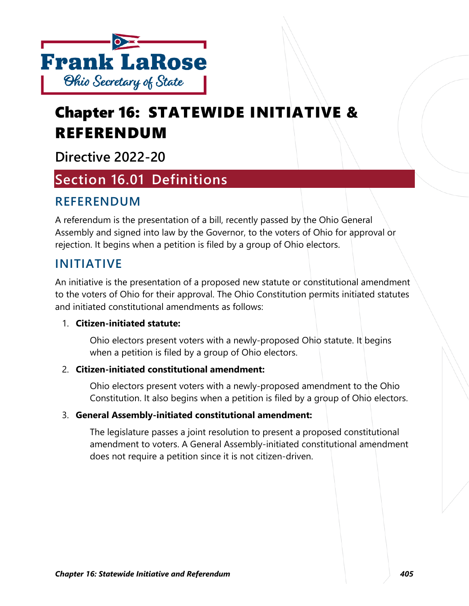

# Chapter 16: STATEWIDE INITIATIVE & REFERENDUM

**Directive 2022-20**

## **Section 16.01 Definitions**

## **REFERENDUM**

A referendum is the presentation of a bill, recently passed by the Ohio General Assembly and signed into law by the Governor, to the voters of Ohio for approval or rejection. It begins when a petition is filed by a group of Ohio electors.

### **INITIATIVE**

An initiative is the presentation of a proposed new statute or constitutional amendment to the voters of Ohio for their approval. The Ohio Constitution permits initiated statutes and initiated constitutional amendments as follows:

#### 1. **Citizen-initiated statute:**

Ohio electors present voters with a newly-proposed Ohio statute. It begins when a petition is filed by a group of Ohio electors.

#### 2. **Citizen-initiated constitutional amendment:**

Ohio electors present voters with a newly-proposed amendment to the Ohio Constitution. It also begins when a petition is filed by a group of Ohio electors.

#### 3. **General Assembly-initiated constitutional amendment:**

The legislature passes a joint resolution to present a proposed constitutional amendment to voters. A General Assembly-initiated constitutional amendment does not require a petition since it is not citizen-driven.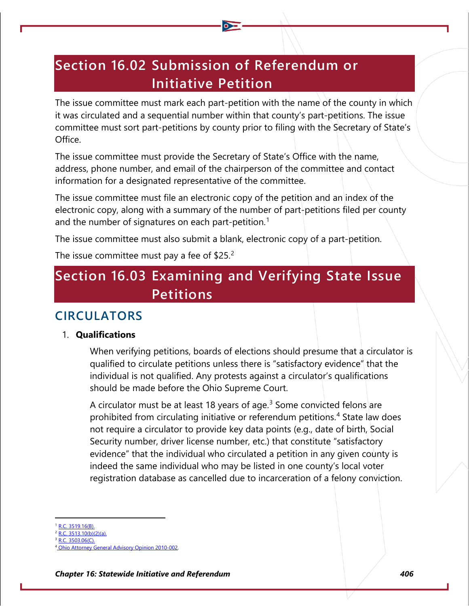## **Section 16.02 Submission of Referendum or Initiative Petition**

The issue committee must mark each part-petition with the name of the county in which it was circulated and a sequential number within that county's part-petitions. The issue committee must sort part-petitions by county prior to filing with the Secretary of State's Office.

The issue committee must provide the Secretary of State's Office with the name, address, phone number, and email of the chairperson of the committee and contact information for a designated representative of the committee.

The issue committee must file an electronic copy of the petition and an index of the electronic copy, along with a summary of the number of part-petitions filed per county and the number of signatures on each part-petition.<sup>[1](#page-1-0)</sup>

The issue committee must also submit a blank, electronic copy of a part-petition.

The issue committee must pay a fee of  $$25.<sup>2</sup>$  $$25.<sup>2</sup>$  $$25.<sup>2</sup>$ 

## **Section 16.03 Examining and Verifying State Issue Petitions**

### **CIRCULATORS**

#### 1. **Qualifications**

When verifying petitions, boards of elections should presume that a circulator is qualified to circulate petitions unless there is "satisfactory evidence" that the individual is not qualified. Any protests against a circulator's qualifications should be made before the Ohio Supreme Court.

A circulator must be at least 18 years of age.<sup>[3](#page-1-2)</sup> Some convicted felons are prohibited from circulating initiative or referendum petitions.[4](#page-1-3) State law does not require a circulator to provide key data points (e.g., date of birth, Social Security number, driver license number, etc.) that constitute "satisfactory evidence" that the individual who circulated a petition in any given county is indeed the same individual who may be listed in one county's local voter registration database as cancelled due to incarceration of a felony conviction.

- <span id="page-1-0"></span>[R.C. 3519.16\(B\).](http://codes.ohio.gov/orc/3519.16)
- <span id="page-1-1"></span>[R.C. 3513.10\(b\)\(2\)\(a\).](http://codes.ohio.gov/orc/3513.10)
- <span id="page-1-2"></span> $\overline{3503.06}$ (C).

<span id="page-1-3"></span>Attorney General Advisory Opinion 2010-002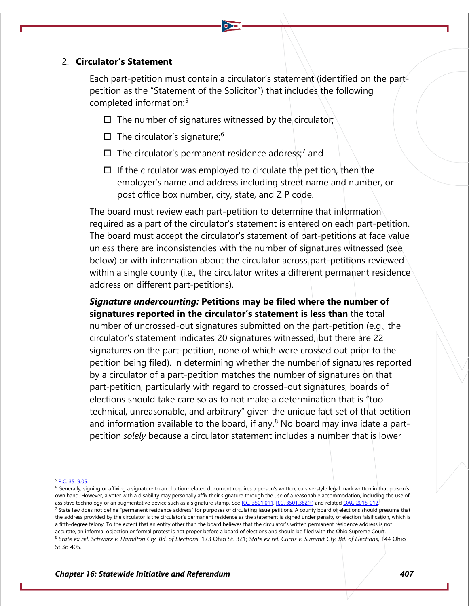#### 2. **Circulator's Statement**

Each part-petition must contain a circulator's statement (identified on the partpetition as the "Statement of the Solicitor") that includes the following completed information:<sup>[5](#page-2-0)</sup>

- $\Box$  The number of signatures witnessed by the circulator;
- $\Box$  The circulator's signature;<sup>[6](#page-2-1)</sup>
- $\square$  The circulator's permanent residence address;<sup>[7](#page-2-2)</sup> and
- $\Box$  If the circulator was employed to circulate the petition, then the employer's name and address including street name and number, or post office box number, city, state, and ZIP code.

The board must review each part-petition to determine that information required as a part of the circulator's statement is entered on each part-petition. The board must accept the circulator's statement of part-petitions at face value unless there are inconsistencies with the number of signatures witnessed (see below) or with information about the circulator across part-petitions reviewed within a single county (i.e., the circulator writes a different permanent residence address on different part-petitions).

*Signature undercounting:* **Petitions may be filed where the number of signatures reported in the circulator's statement is less than** the total number of uncrossed-out signatures submitted on the part-petition (e.g., the circulator's statement indicates 20 signatures witnessed, but there are 22 signatures on the part-petition, none of which were crossed out prior to the petition being filed). In determining whether the number of signatures reported by a circulator of a part-petition matches the number of signatures on that part-petition, particularly with regard to crossed-out signatures, boards of elections should take care so as to not make a determination that is "too technical, unreasonable, and arbitrary" given the unique fact set of that petition and information available to the board, if any. $8$  No board may invalidate a partpetition *solely* because a circulator statement includes a number that is lower

<span id="page-2-0"></span><sup>5</sup> R.C. [3519.05.](http://codes.ohio.gov/orc/3519.05)

<span id="page-2-1"></span><sup>&</sup>lt;sup>6</sup> Generally, signing or affixing a signature to an election-related document requires a person's written, cursive-style legal mark written in that person's own hand. However, a voter with a disability may personally affix their signature through the use of a reasonable accommodation, including the use of assistive technology or an augmentative device such as a signature stamp. Se[e R.C. 3501.011,](http://codes.ohio.gov/orc/3501.011) [R.C. 3501.382\(F\)](http://codes.ohio.gov/orc/3501.382) and relate[d OAG 2015-012.](https://www.ohioattorneygeneral.gov/getattachment/1bc41cbc-8b6c-44eb-93ae-fb826e604a6c/2015-012.aspx)

<span id="page-2-2"></span><sup>&</sup>lt;sup>7</sup> State law does not define "permanent residence address" for purposes of circulating issue petitions. A county board of elections should presume that the address provided by the circulator is the circulator's permanent residence as the statement is signed under penalty of election falsification, which is

<span id="page-2-3"></span>a fifth-degree felony. To the extent that an entity other than the board believes that the circulator's written permanent residence address is not accurate, an informal objection or formal protest is not proper before a board of elections and should be filed with the Ohio Supreme Court. <sup>8</sup> *State ex rel. Schwarz v. Hamilton Cty. Bd. of Elections*, 173 Ohio St. 321; *State ex rel. Curtis v. Summit Cty. Bd. of Elections*, 144 Ohio St.3d 405.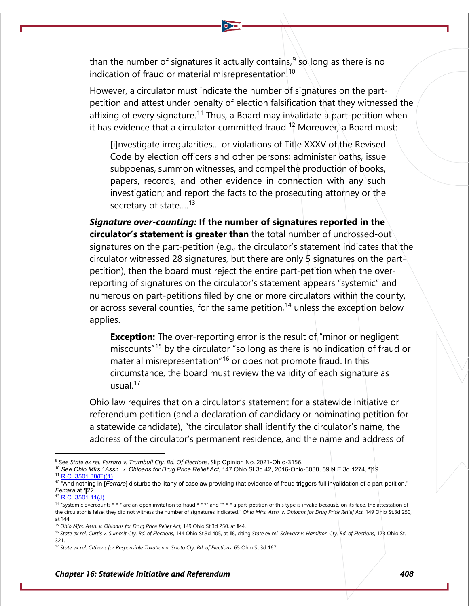than the number of signatures it actually contains, $^9$  $^9$  so long as there is no indication of fraud or material misrepresentation.<sup>[10](#page-3-1)</sup>

However, a circulator must indicate the number of signatures on the partpetition and attest under penalty of election falsification that they witnessed the affixing of every signature.<sup>[11](#page-3-2)</sup> Thus, a Board may invalidate a part-petition when it has evidence that a circulator committed fraud.<sup>[12](#page-3-3)</sup> Moreover, a Board must:

[i]nvestigate irregularities… or violations of Title XXXV of the Revised Code by election officers and other persons; administer oaths, issue subpoenas, summon witnesses, and compel the production of books, papers, records, and other evidence in connection with any such investigation; and report the facts to the prosecuting attorney or the secretary of state.... $^{13}$  $^{13}$  $^{13}$ 

*Signature over-counting:* **If the number of signatures reported in the circulator's statement is greater than** the total number of uncrossed-out signatures on the part-petition (e.g., the circulator's statement indicates that the circulator witnessed 28 signatures, but there are only 5 signatures on the partpetition), then the board must reject the entire part-petition when the overreporting of signatures on the circulator's statement appears "systemic" and numerous on part-petitions filed by one or more circulators within the county, or across several counties, for the same petition,<sup>[14](#page-3-5)</sup> unless the exception below applies.

**Exception:** The over-reporting error is the result of "minor or negligent miscounts"[15](#page-3-6) by the circulator "so long as there is no indication of fraud or material misrepresentation"[16](#page-3-7) or does not promote fraud. In this circumstance, the board must review the validity of each signature as usual $17$ 

Ohio law requires that on a circulator's statement for a statewide initiative or referendum petition (and a declaration of candidacy or nominating petition for a statewide candidate), "the circulator shall identify the circulator's name, the address of the circulator's permanent residence, and the name and address of

<span id="page-3-1"></span><span id="page-3-0"></span><sup>9</sup> See *State ex rel. Ferrara v. Trumbull Cty. Bd. Of Elections*, Slip Opinion No. 2021-Ohio-3156.

<sup>10</sup> *See Ohio Mfrs.' Assn. v. Ohioans for Drug Price Relief Act*, 147 Ohio St.3d 42, 2016-Ohio-3038, 59 N.E.3d 1274, ¶19. 11 [R.C. 3501.38\(E\)\(1\).](https://codes.ohio.gov/ohio-revised-code/section-3501.38)

<span id="page-3-3"></span><span id="page-3-2"></span><sup>&</sup>lt;sup>12</sup> "And nothing in [*Ferrara*] disturbs the litany of caselaw providing that evidence of fraud triggers full invalidation of a part-petition." *Ferrara* at ¶22.

 $13$  [R.C. 3501.11\(J\).](https://codes.ohio.gov/ohio-revised-code/section-3501.11)

<span id="page-3-5"></span><span id="page-3-4"></span><sup>&</sup>lt;sup>14</sup> "Systemic overcounts \* \* \* are an open invitation to fraud \* \* \*" and "\* \* \* a part-petition of this type is invalid because, on its face, the attestation of the circulator is false: they did not witness the number of signatures indicated." *Ohio Mfrs. Assn. v. Ohioans for Drug Price Relief Act*, 149 Ohio St.3d 250, at ¶44.

<sup>15</sup> *Ohio Mfrs. Assn. v. Ohioans for Drug Price Relief Act*, 149 Ohio St.3d 250, at ¶44.

<span id="page-3-7"></span><span id="page-3-6"></span><sup>16</sup> *State ex rel. Curtis v. Summit Cty. Bd. of Elections*, 144 Ohio St.3d 405, at ¶8, citing *State ex rel. Schwarz v. Hamilton Cty. Bd. of Elections*, 173 Ohio St. 321.

<span id="page-3-8"></span><sup>17</sup> *State ex rel. Citizens for Responsible Taxation v. Scioto Cty. Bd. of Elections*, 65 Ohio St.3d 167.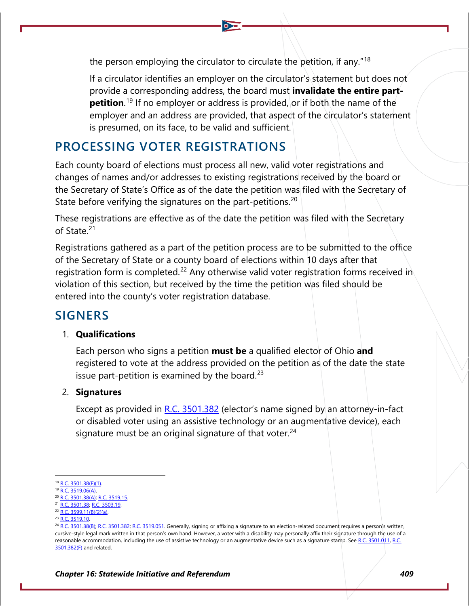the person employing the circulator to circulate the petition, if any."[18](#page-4-0)

If a circulator identifies an employer on the circulator's statement but does not provide a corresponding address, the board must **invalidate the entire partpetition**.<sup>[19](#page-4-1)</sup> If no employer or address is provided, or if both the name of the employer and an address are provided, that aspect of the circulator's statement is presumed, on its face, to be valid and sufficient.

### **PROCESSING VOTER REGISTRATIONS**

Each county board of elections must process all new, valid voter registrations and changes of names and/or addresses to existing registrations received by the board or the Secretary of State's Office as of the date the petition was filed with the Secretary of State before verifying the signatures on the part-petitions.<sup>[20](#page-4-2)</sup>

These registrations are effective as of the date the petition was filed with the Secretary of State.[21](#page-4-3)

Registrations gathered as a part of the petition process are to be submitted to the office of the Secretary of State or a county board of elections within 10 days after that registration form is completed.<sup>[22](#page-4-4)</sup> Any otherwise valid voter registration forms received in violation of this section, but received by the time the petition was filed should be entered into the county's voter registration database.

## **SIGNERS**

#### 1. **Qualifications**

Each person who signs a petition **must be** a qualified elector of Ohio **and** registered to vote at the address provided on the petition as of the date the state issue part-petition is examined by the board.<sup>[23](#page-4-5)</sup>

#### 2. **Signatures**

Except as provided in  $R.C. 3501.382$  (elector's name signed by an attorney-in-fact or disabled voter using an assistive technology or an augmentative device), each signature must be an original signature of that voter.  $24$ 

<span id="page-4-0"></span><sup>&</sup>lt;sup>8</sup> [R.C. 3501.38\(E\)\(1\).](http://codes.ohio.gov/orc/3501.38)

<span id="page-4-1"></span><sup>19</sup> [R.C. 3519.06\(A\).](http://codes.ohio.gov/orc/3519.06)

<span id="page-4-2"></span><sup>&</sup>lt;sup>20</sup> [R.C. 3501.38\(A\);](http://codes.ohio.gov/orc/3501.38) [R.C. 3519.15.](http://codes.ohio.gov/orc/3519.15)

<span id="page-4-3"></span><sup>21</sup> [R.C. 3501.38;](http://codes.ohio.gov/orc/3501.38) [R.C. 3503.19.](http://codes.ohio.gov/orc/3503.19)

<span id="page-4-4"></span> $22$  [R.C. 3599.11\(B\)\(2\)\(a\).](http://codes.ohio.gov/orc/3599.11)

<sup>23</sup> [R.C. 3519.10.](http://codes.ohio.gov/orc/3519.10)

<span id="page-4-6"></span><span id="page-4-5"></span><sup>&</sup>lt;sup>24</sup> [R.C. 3501.38\(B\);](http://codes.ohio.gov/orc/3501.38) [R.C. 3501.382;](http://codes.ohio.gov/orc/3501.382) [R.C. 3519.051.](http://codes.ohio.gov/orc/3519.051) Generally, signing or affixing a signature to an election-related document requires a person's written, cursive-style legal mark written in that person's own hand. However, a voter with a disability may personally affix their signature through the use of a reasonable accommodation, including the use of assistive technology or an augmentative device such as a signature stamp. Se[e R.C. 3501.011,](http://codes.ohio.gov/orc/3501.011) R.C. [3501.382\(F\)](http://codes.ohio.gov/orc/3501.382) and related.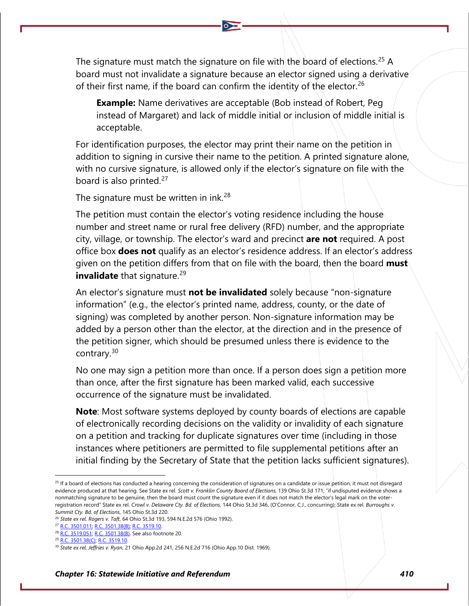The signature must match the signature on file with the board of elections.<sup>[25](#page-5-0)</sup> A board must not invalidate a signature because an elector signed using a derivative of their first name, if the board can confirm the identity of the elector.<sup>[26](#page-5-1)</sup>

**Example:** Name derivatives are acceptable (Bob instead of Robert, Peg instead of Margaret) and lack of middle initial or inclusion of middle initial is acceptable.

For identification purposes, the elector may print their name on the petition in addition to signing in cursive their name to the petition. A printed signature alone, with no cursive signature, is allowed only if the elector's signature on file with the board is also printed. $27$ 

The signature must be written in ink.<sup>[28](#page-5-3)</sup>

The petition must contain the elector's voting residence including the house number and street name or rural free delivery (RFD) number, and the appropriate city, village, or township. The elector's ward and precinct **are not** required. A post office box **does not** qualify as an elector's residence address. If an elector's address given on the petition differs from that on file with the board, then the board **must invalidate** that signature.<sup>[29](#page-5-4)</sup>

An elector's signature must **not be invalidated** solely because "non-signature information" (e.g., the elector's printed name, address, county, or the date of signing) was completed by another person. Non-signature information may be added by a person other than the elector, at the direction and in the presence of the petition signer, which should be presumed unless there is evidence to the contrary.[30](#page-5-5)

No one may sign a petition more than once. If a person does sign a petition more than once, after the first signature has been marked valid, each successive occurrence of the signature must be invalidated.

**Note**: Most software systems deployed by county boards of elections are capable of electronically recording decisions on the validity or invalidity of each signature on a petition and tracking for duplicate signatures over time (including in those instances where petitioners are permitted to file supplemental petitions after an initial finding by the Secretary of State that the petition lacks sufficient signatures).

<span id="page-5-0"></span><sup>&</sup>lt;sup>25</sup> If a board of elections has conducted a hearing concerning the consideration of signatures on a candidate or issue petition, it must not disregard evidence produced at that hearing. See State ex rel. *Scott v. Franklin County Board of Elections*, 139 Ohio St.3d 171; "if undisputed evidence shows a nonmatching signature to be genuine, then the board must count the signature even if it does not match the elector's legal mark on the voterregistration record" State ex rel. *Crowl v. Delaware Cty. Bd. of Elections*, 144 Ohio St.3d 346, (O'Connor, C.J., concurring); State ex rel. *Burroughs v. Summit Cty. Bd. of Elections*, 145 Ohio St.3d 220.

<span id="page-5-2"></span><span id="page-5-1"></span><sup>26</sup> *State ex rel. Rogers v. Taft*, 64 Ohio St.3d 193, 594 N.E.2d 576 (Ohio 1992).

<sup>27</sup> [R.C. 3501.011;](http://codes.ohio.gov/orc/3501.011) [R.C. 3501.38\(B\);](http://codes.ohio.gov/orc/3501.38) [R.C. 3519.10.](http://codes.ohio.gov/orc/3519.10)

<span id="page-5-3"></span><sup>&</sup>lt;sup>28</sup> [R.C. 3519.051;](http://codes.ohio.gov/orc/3519.051) [R.C. 3501.38\(B\).](http://codes.ohio.gov/orc/3501.38) See also footnote 20.

<span id="page-5-4"></span><sup>&</sup>lt;sup>29</sup> [R.C. 3501.38\(C\);](http://codes.ohio.gov/orc/3501.38) [R.C. 3519.10.](http://codes.ohio.gov/orc/3519.10)

<span id="page-5-5"></span><sup>30</sup> *State ex rel. Jeffries v. Ryan*, 21 Ohio App.2d 241, 256 N.E.2d 716 (Ohio App.10 Dist. 1969).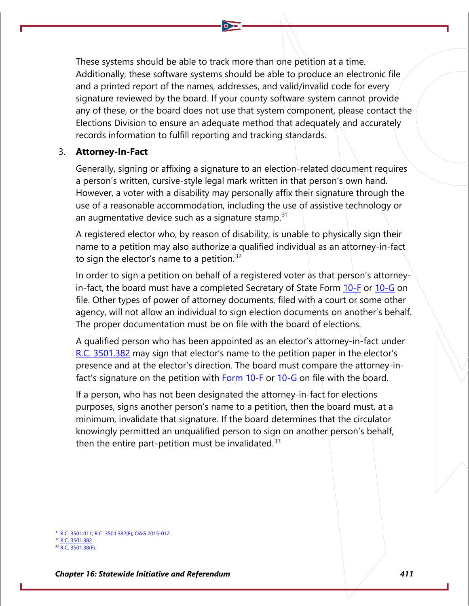These systems should be able to track more than one petition at a time. Additionally, these software systems should be able to produce an electronic file and a printed report of the names, addresses, and valid/invalid code for every signature reviewed by the board. If your county software system cannot provide any of these, or the board does not use that system component, please contact the Elections Division to ensure an adequate method that adequately and accurately records information to fulfill reporting and tracking standards.

#### 3. **Attorney-In-Fact**

Generally, signing or affixing a signature to an election-related document requires a person's written, cursive-style legal mark written in that person's own hand. However, a voter with a disability may personally affix their signature through the use of a reasonable accommodation, including the use of assistive technology or an augmentative device such as a signature stamp.  $31$ 

A registered elector who, by reason of disability, is unable to physically sign their name to a petition may also authorize a qualified individual as an attorney-in-fact to sign the elector's name to a petition.<sup>[32](#page-6-1)</sup>

In order to sign a petition on behalf of a registered voter as that person's attorneyin-fact, the board must have a completed Secretary of State Form  $10$ -F or  $10$ -G on file. Other types of power of attorney documents, filed with a court or some other agency, will not allow an individual to sign election documents on another's behalf. The proper documentation must be on file with the board of elections.

A qualified person who has been appointed as an elector's attorney-in-fact under [R.C. 3501.382](http://codes.ohio.gov/orc/3501.382) may sign that elector's name to the petition paper in the elector's presence and at the elector's direction. The board must compare the attorney-infact's signature on the petition with **Form 10-F** or [10-G](https://www.ohiosos.gov/globalassets/elections/forms/10-g.pdf) on file with the board.

If a person, who has not been designated the attorney-in-fact for elections purposes, signs another person's name to a petition, then the board must, at a minimum, invalidate that signature. If the board determines that the circulator knowingly permitted an unqualified person to sign on another person's behalf, then the entire part-petition must be invalidated. $33$ 

<span id="page-6-0"></span><sup>&</sup>lt;sup>1</sup> [R.C. 3501.011;](http://codes.ohio.gov/orc/3501.011) [R.C. 3501.382\(F\);](http://codes.ohio.gov/orc/3501.382) [OAG 2015-012.](https://www.ohioattorneygeneral.gov/getattachment/1bc41cbc-8b6c-44eb-93ae-fb826e604a6c/2015-012.aspx)

<sup>&</sup>lt;sup>32</sup> R.C. 3501.382

<span id="page-6-2"></span><span id="page-6-1"></span><sup>33</sup> [R.C. 3501.38\(F\).](http://codes.ohio.gov/orc/3501.38)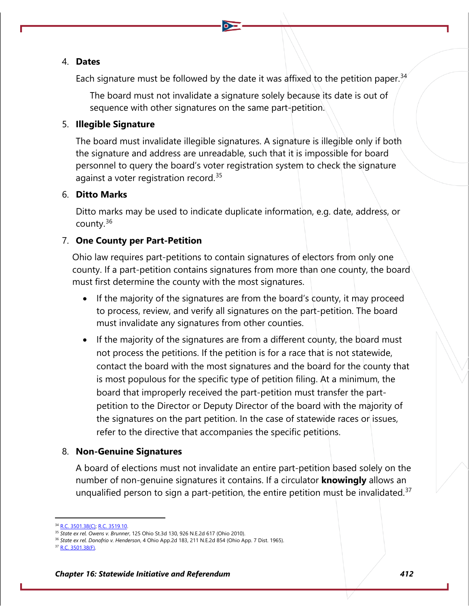#### 4. **Dates**

Each signature must be followed by the date it was affixed to the petition paper.<sup>[34](#page-7-0)</sup>

The board must not invalidate a signature solely because its date is out of sequence with other signatures on the same part-petition.

#### 5. **Illegible Signature**

The board must invalidate illegible signatures. A signature is illegible only if both the signature and address are unreadable, such that it is impossible for board personnel to query the board's voter registration system to check the signature against a voter registration record.<sup>[35](#page-7-1)</sup>

#### 6. **Ditto Marks**

Ditto marks may be used to indicate duplicate information, e.g. date, address, or county.[36](#page-7-2)

#### 7. **One County per Part-Petition**

Ohio law requires part-petitions to contain signatures of electors from only one county. If a part-petition contains signatures from more than one county, the board must first determine the county with the most signatures.

- If the majority of the signatures are from the board's county, it may proceed to process, review, and verify all signatures on the part-petition. The board must invalidate any signatures from other counties.
- If the majority of the signatures are from a different county, the board must not process the petitions. If the petition is for a race that is not statewide, contact the board with the most signatures and the board for the county that is most populous for the specific type of petition filing. At a minimum, the board that improperly received the part-petition must transfer the partpetition to the Director or Deputy Director of the board with the majority of the signatures on the part petition. In the case of statewide races or issues, refer to the directive that accompanies the specific petitions.

#### 8. **Non-Genuine Signatures**

A board of elections must not invalidate an entire part-petition based solely on the number of non-genuine signatures it contains. If a circulator **knowingly** allows an unqualified person to sign a part-petition, the entire petition must be invalidated.<sup>[37](#page-7-3)</sup>

<span id="page-7-0"></span><sup>34</sup> [R.C. 3501.38\(C\);](http://codes.ohio.gov/orc/3501.38) [R.C. 3519.10.](http://codes.ohio.gov/orc/3519.10)

<span id="page-7-1"></span><sup>35</sup> *State ex rel. Owens v. Brunner*, 125 Ohio St.3d 130, 926 N.E.2d 617 (Ohio 2010).

<sup>36</sup> *State ex rel. Donofrio v. Henderson*, 4 Ohio App.2d 183, 211 N.E.2d 854 (Ohio App. 7 Dist. 1965).

<span id="page-7-3"></span><span id="page-7-2"></span><sup>37</sup> [R.C. 3501.38\(F\).](http://codes.ohio.gov/orc/3501.38)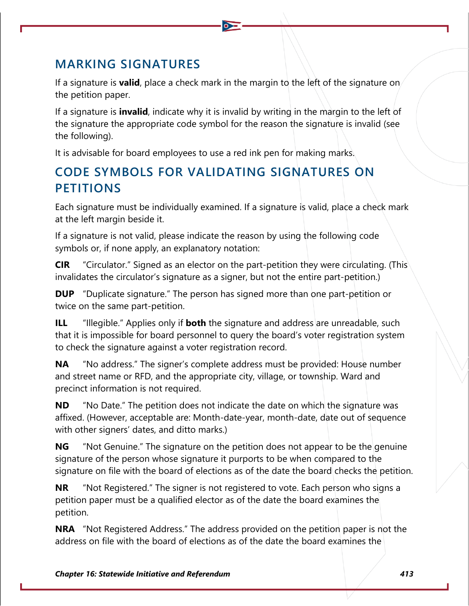## **MARKING SIGNATURES**

If a signature is **valid**, place a check mark in the margin to the left of the signature on the petition paper.

If a signature is **invalid**, indicate why it is invalid by writing in the margin to the left of the signature the appropriate code symbol for the reason the signature is invalid (see the following).

It is advisable for board employees to use a red ink pen for making marks.

## **CODE SYMBOLS FOR VALIDATING SIGNATURES ON PETITIONS**

Each signature must be individually examined. If a signature is valid, place a check mark at the left margin beside it.

If a signature is not valid, please indicate the reason by using the following code symbols or, if none apply, an explanatory notation:

**CIR** "Circulator." Signed as an elector on the part-petition they were circulating. (This invalidates the circulator's signature as a signer, but not the entire part-petition.)

**DUP** "Duplicate signature." The person has signed more than one part-petition or twice on the same part-petition.

**ILL** "Illegible." Applies only if **both** the signature and address are unreadable, such that it is impossible for board personnel to query the board's voter registration system to check the signature against a voter registration record.

**NA** "No address." The signer's complete address must be provided: House number and street name or RFD, and the appropriate city, village, or township. Ward and precinct information is not required.

**ND** "No Date." The petition does not indicate the date on which the signature was affixed. (However, acceptable are: Month-date-year, month-date, date out of sequence with other signers' dates, and ditto marks.)

**NG** "Not Genuine." The signature on the petition does not appear to be the genuine signature of the person whose signature it purports to be when compared to the signature on file with the board of elections as of the date the board checks the petition.

**NR** "Not Registered." The signer is not registered to vote. Each person who signs a petition paper must be a qualified elector as of the date the board examines the petition.

**NRA** "Not Registered Address." The address provided on the petition paper is not the address on file with the board of elections as of the date the board examines the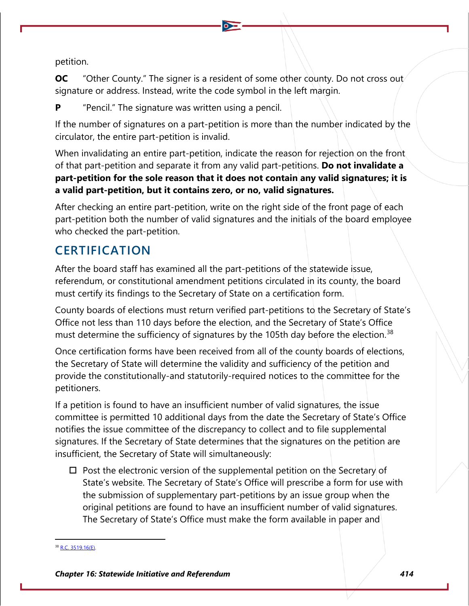petition.

**OC** "Other County." The signer is a resident of some other county. Do not cross out signature or address. Instead, write the code symbol in the left margin.

**P** "Pencil." The signature was written using a pencil.

If the number of signatures on a part-petition is more than the number indicated by the circulator, the entire part-petition is invalid.

When invalidating an entire part-petition, indicate the reason for rejection on the front of that part-petition and separate it from any valid part-petitions. **Do not invalidate a part-petition for the sole reason that it does not contain any valid signatures; it is a valid part-petition, but it contains zero, or no, valid signatures.**

After checking an entire part-petition, write on the right side of the front page of each part-petition both the number of valid signatures and the initials of the board employee who checked the part-petition.

## **CERTIFICATION**

After the board staff has examined all the part-petitions of the statewide issue, referendum, or constitutional amendment petitions circulated in its county, the board must certify its findings to the Secretary of State on a certification form.

County boards of elections must return verified part-petitions to the Secretary of State's Office not less than 110 days before the election, and the Secretary of State's Office must determine the sufficiency of signatures by the 105th day before the election.<sup>[38](#page-9-0)</sup>

Once certification forms have been received from all of the county boards of elections, the Secretary of State will determine the validity and sufficiency of the petition and provide the constitutionally-and statutorily-required notices to the committee for the petitioners.

If a petition is found to have an insufficient number of valid signatures, the issue committee is permitted 10 additional days from the date the Secretary of State's Office notifies the issue committee of the discrepancy to collect and to file supplemental signatures. If the Secretary of State determines that the signatures on the petition are insufficient, the Secretary of State will simultaneously:

 $\Box$  Post the electronic version of the supplemental petition on the Secretary of State's website. The Secretary of State's Office will prescribe a form for use with the submission of supplementary part-petitions by an issue group when the original petitions are found to have an insufficient number of valid signatures. The Secretary of State's Office must make the form available in paper and

<span id="page-9-0"></span>[R.C. 3519.16\(E\).](http://codes.ohio.gov/orc/3519.16)